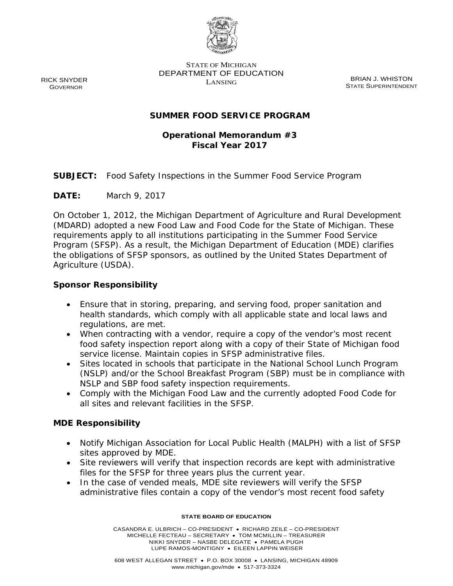

STATE OF MICHIGAN DEPARTMENT OF EDUCATION EXAMPLE BRIAN J. WHISTON

STATE SUPERINTENDENT

## **SUMMER FOOD SERVICE PROGRAM**

# **Operational Memorandum #3 Fiscal Year 2017**

**SUBJECT:** Food Safety Inspections in the Summer Food Service Program

**DATE:** March 9, 2017

On October 1, 2012, the Michigan Department of Agriculture and Rural Development (MDARD) adopted a new Food Law and Food Code for the State of Michigan. These requirements apply to all institutions participating in the Summer Food Service Program (SFSP). As a result, the Michigan Department of Education (MDE) clarifies the obligations of SFSP sponsors, as outlined by the United States Department of Agriculture (USDA).

### **Sponsor Responsibility**

- Ensure that in storing, preparing, and serving food, proper sanitation and health standards, which comply with all applicable state and local laws and regulations, are met.
- When contracting with a vendor, require a copy of the vendor's most recent food safety inspection report along with a copy of their State of Michigan food service license. Maintain copies in SFSP administrative files.
- Sites located in schools that participate in the National School Lunch Program (NSLP) and/or the School Breakfast Program (SBP) must be in compliance with NSLP and SBP food safety inspection requirements.
- Comply with the Michigan Food Law and the currently adopted Food Code for all sites and relevant facilities in the SFSP.

### **MDE Responsibility**

- Notify Michigan Association for Local Public Health (MALPH) with a list of SFSP sites approved by MDE.
- Site reviewers will verify that inspection records are kept with administrative files for the SFSP for three years plus the current year.
- In the case of vended meals, MDE site reviewers will verify the SFSP administrative files contain a copy of the vendor's most recent food safety

#### **STATE BOARD OF EDUCATION**

CASANDRA E. ULBRICH – CO-PRESIDENT • RICHARD ZEILE – CO-PRESIDENT MICHELLE FECTEAU – SECRETARY • TOM MCMILLIN – TREASURER NIKKI SNYDER – NASBE DELEGATE • PAMELA PUGH LUPE RAMOS-MONTIGNY • EILEEN LAPPIN WEISER

RICK SNYDER GOVERNOR